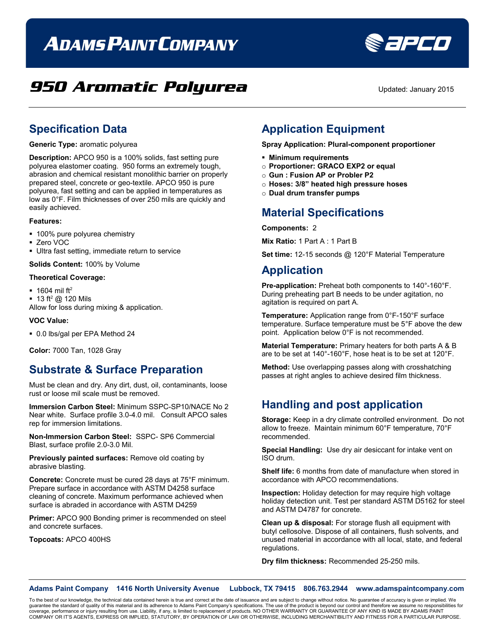# **ADAMS PAINT COMPANY**



**SEPED** 

### **Specification Data**

**Generic Type:** aromatic polyurea

**Description:** APCO 950 is a 100% solids, fast setting pure polyurea elastomer coating. 950 forms an extremely tough, abrasion and chemical resistant monolithic barrier on properly prepared steel, concrete or geo-textile. APCO 950 is pure polyurea, fast setting and can be applied in temperatures as low as 0°F. Film thicknesses of over 250 mils are quickly and easily achieved.

#### **Features:**

- **100% pure polyurea chemistry**
- Zero VOC
- Ultra fast setting, immediate return to service

**Solids Content:** 100% by Volume

#### **Theoretical Coverage:**

- $\blacksquare$  1604 mil ft<sup>2</sup>
- $\blacksquare$  13 ft<sup>2</sup> @ 120 Mils

Allow for loss during mixing & application.

#### **VOC Value:**

0.0 lbs/gal per EPA Method 24

**Color:** 7000 Tan, 1028 Gray

### **Substrate & Surface Preparation**

Must be clean and dry. Any dirt, dust, oil, contaminants, loose rust or loose mil scale must be removed.

**Immersion Carbon Steel:** Minimum SSPC-SP10/NACE No 2 Near white. Surface profile 3.0-4.0 mil. Consult APCO sales rep for immersion limitations.

**Non-Immersion Carbon Steel:** SSPC- SP6 Commercial Blast, surface profile 2.0-3.0 Mil.

**Previously painted surfaces:** Remove old coating by abrasive blasting.

**Concrete:** Concrete must be cured 28 days at 75°F minimum. Prepare surface in accordance with ASTM D4258 surface cleaning of concrete. Maximum performance achieved when surface is abraded in accordance with ASTM D4259

**Primer:** APCO 900 Bonding primer is recommended on steel and concrete surfaces.

**Topcoats:** APCO 400HS

## **Application Equipment**

**Spray Application: Plural-component proportioner**

- **Minimum requirements**
- o **Proportioner: GRACO EXP2 or equal**
- o **Gun : Fusion AP or Probler P2**
- o **Hoses: 3/8" heated high pressure hoses**
- o **Dual drum transfer pumps**

#### **Material Specifications**

**Components:** 2

**Mix Ratio:** 1 Part A : 1 Part B

**Set time:** 12-15 seconds @ 120°F Material Temperature

#### **Application**

**Pre-application:** Preheat both components to 140°-160°F. During preheating part B needs to be under agitation, no agitation is required on part A.

**Temperature:** Application range from 0°F-150°F surface temperature. Surface temperature must be 5°F above the dew point. Application below 0°F is not recommended.

**Material Temperature:** Primary heaters for both parts A & B are to be set at 140°-160°F, hose heat is to be set at 120°F.

**Method:** Use overlapping passes along with crosshatching passes at right angles to achieve desired film thickness.

### **Handling and post application**

**Storage:** Keep in a dry climate controlled environment. Do not allow to freeze. Maintain minimum 60°F temperature, 70°F recommended.

**Special Handling:** Use dry air desiccant for intake vent on ISO drum.

**Shelf life:** 6 months from date of manufacture when stored in accordance with APCO recommendations.

**Inspection:** Holiday detection for may require high voltage holiday detection unit. Test per standard ASTM D5162 for steel and ASTM D4787 for concrete.

**Clean up & disposal:** For storage flush all equipment with butyl cellosolve. Dispose of all containers, flush solvents, and unused material in accordance with all local, state, and federal regulations.

**Dry film thickness:** Recommended 25-250 mils.

**Adams Paint Company 1416 North University Avenue Lubbock, TX 79415 806.763.2944 www.adamspaintcompany.com**

To the best of our knowledge, the technical data contained herein is true and correct at the date of issuance and are subject to change without notice. No guarantee of accuracy is given or implied. We<br>quarantee the standar guarantee the standard of quality of this material and its adherence to Adams Paint Company's specifications. The use of the product is beyond our control and therefore we ass coverage, performance or injury resulting from use. Liability, if any, is limited to replacement of products. NO OTHER WARRANTY OR GUARANTEE OF ANY KIND IS MADE BY ADAMS PAINT<br>COMPANY OR IT'S AGENTS, EXPRESS OR IMPLIED, ST